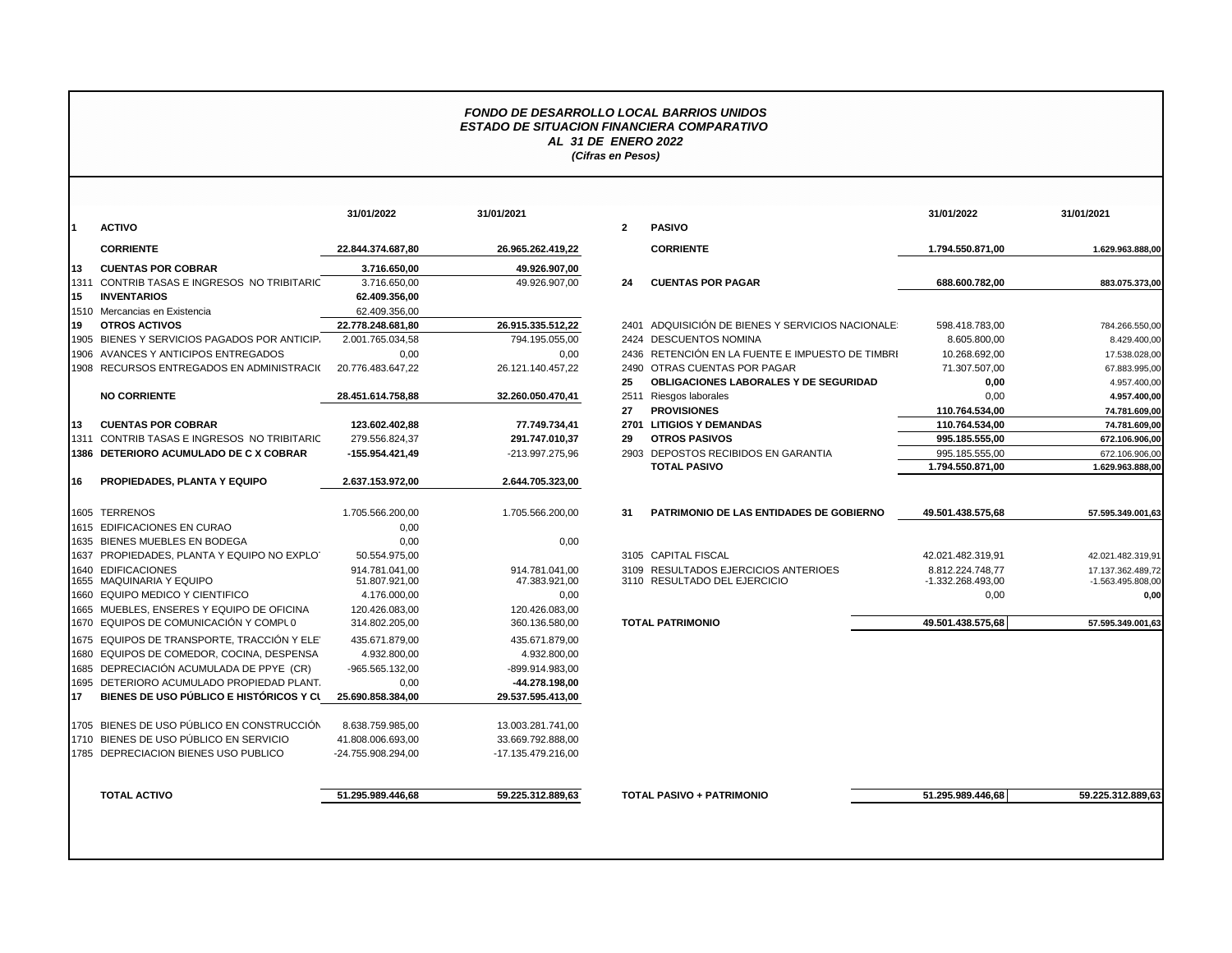## *FONDO DE DESARROLLO LOCAL BARRIOS UNIDOS ESTADO DE SITUACION FINANCIERA COMPARATIVO AL 31 DE ENERO 2022 (Cifras en Pesos)*

|    |                                                | 31/01/2022                      | 31/01/2021                      |              |                            |
|----|------------------------------------------------|---------------------------------|---------------------------------|--------------|----------------------------|
| 1  | <b>ACTIVO</b>                                  |                                 |                                 | $\mathbf{2}$ | <b>PASIVO</b>              |
|    | <b>CORRIENTE</b>                               | 22.844.374.687,80               | 26.965.262.419,22               |              | <b>CORRIE</b>              |
| 13 | <b>CUENTAS POR COBRAR</b>                      | 3.716.650,00                    | 49.926.907,00                   |              |                            |
|    | 1311 CONTRIB TASAS E INGRESOS NO TRIBITARIC    | 3.716.650,00                    | 49.926.907.00                   | 24           | <b>CUENT/</b>              |
| 15 | <b>INVENTARIOS</b>                             | 62.409.356,00                   |                                 |              |                            |
|    | 1510 Mercancias en Existencia                  | 62.409.356,00                   |                                 |              |                            |
| 19 | <b>OTROS ACTIVOS</b>                           | 22.778.248.681,80               | 26.915.335.512,22               |              | 2401 ADQUIS                |
|    | 1905 BIENES Y SERVICIOS PAGADOS POR ANTICIP.   | 2.001.765.034,58                | 794.195.055,00                  |              | 2424 DESCUI                |
|    | 1906 AVANCES Y ANTICIPOS ENTREGADOS            | 0,00                            | 0,00                            |              | 2436 RETENG                |
|    | 1908 RECURSOS ENTREGADOS EN ADMINISTRACIO      | 20.776.483.647,22               | 26.121.140.457,22               |              | 2490 OTRAS                 |
|    |                                                |                                 |                                 | 25           | <b>OBLIGA</b>              |
|    | <b>NO CORRIENTE</b>                            | 28.451.614.758.88               | 32.260.050.470,41               |              | 2511 Riesgos               |
|    |                                                |                                 |                                 | 27           | <b>PROVIS</b>              |
| 13 | <b>CUENTAS POR COBRAR</b>                      | 123.602.402,88                  | 77.749.734,41                   |              | 2701 LITIGIO               |
|    | 1311 CONTRIB TASAS E INGRESOS NO TRIBITARIC    | 279.556.824,37                  | 291.747.010,37                  | 29           | <b>OTROS</b>               |
|    | 1386 DETERIORO ACUMULADO DE C X COBRAR         | -155.954.421,49                 | -213.997.275,96                 |              | 2903 DEPOS                 |
|    |                                                |                                 |                                 |              | <b>TOTAL</b>               |
| 16 | PROPIEDADES, PLANTA Y EQUIPO                   | 2.637.153.972,00                | 2.644.705.323,00                |              |                            |
|    | 1605 TERRENOS                                  | 1.705.566.200,00                | 1.705.566.200,00                | 31           | <b>PATRIM</b>              |
|    | 1615 EDIFICACIONES EN CURAO                    | 0,00                            |                                 |              |                            |
|    | 1635 BIENES MUEBLES EN BODEGA                  | 0,00                            | 0.00                            |              |                            |
|    | 1637 PROPIEDADES, PLANTA Y EQUIPO NO EXPLOT    | 50.554.975,00                   |                                 |              | 3105 CAPITA                |
|    | 1640 EDIFICACIONES<br>1655 MAQUINARIA Y EQUIPO | 914.781.041.00<br>51.807.921,00 | 914.781.041,00<br>47.383.921.00 |              | 3109 RESULT<br>3110 RESULT |
|    | 1660 EQUIPO MEDICO Y CIENTIFICO                | 4.176.000.00                    | 0.00                            |              |                            |
|    | 1665 MUEBLES, ENSERES Y EQUIPO DE OFICINA      | 120.426.083,00                  | 120.426.083.00                  |              |                            |
|    | 1670 EQUIPOS DE COMUNICACIÓN Y COMPLO          | 314.802.205,00                  | 360.136.580,00                  |              | <b>TOTAL PATRI</b>         |
|    | 1675 EQUIPOS DE TRANSPORTE. TRACCIÓN Y ELET    | 435.671.879.00                  | 435.671.879.00                  |              |                            |
|    | 1680 EQUIPOS DE COMEDOR, COCINA, DESPENSA      | 4.932.800,00                    | 4.932.800,00                    |              |                            |
|    | 1685 DEPRECIACIÓN ACUMULADA DE PPYE (CR)       | -965.565.132,00                 | -899.914.983,00                 |              |                            |
|    | 1695 DETERIORO ACUMULADO PROPIEDAD PLANT.      | 0,00                            | -44.278.198,00                  |              |                            |
| 17 | BIENES DE USO PÚBLICO E HISTÓRICOS Y CI        | 25.690.858.384,00               | 29.537.595.413,00               |              |                            |
|    | 1705 BIENES DE USO PÚBLICO EN CONSTRUCCIÓN     | 8.638.759.985,00                | 13.003.281.741,00               |              |                            |
|    | 1710 BIENES DE USO PÚBLICO EN SERVICIO         | 41.808.006.693.00               | 33.669.792.888.00               |              |                            |
|    | 1785 DEPRECIACION BIENES USO PUBLICO           | -24.755.908.294,00              | -17.135.479.216,00              |              |                            |
|    |                                                |                                 |                                 |              |                            |
|    | <b>TOTAL ACTIVO</b>                            | 51.295.989.446.68               | 59.225.312.889.63               |              | <b>TOTAL PASIV</b>         |

|    |                                             | 31/01/2022         | 31/01/2021         |                |                                                  | 31/01/2022        | 31/01/2021          |
|----|---------------------------------------------|--------------------|--------------------|----------------|--------------------------------------------------|-------------------|---------------------|
|    | <b>ACTIVO</b>                               |                    |                    | $\overline{2}$ | <b>PASIVO</b>                                    |                   |                     |
|    | <b>CORRIENTE</b>                            | 22.844.374.687,80  | 26.965.262.419,22  |                | <b>CORRIENTE</b>                                 | 1.794.550.871,00  | 1.629.963.888,00    |
| 13 | <b>CUENTAS POR COBRAR</b>                   | 3.716.650.00       | 49.926.907,00      |                |                                                  |                   |                     |
|    | 1311 CONTRIB TASAS E INGRESOS NO TRIBITARIC | 3.716.650,00       | 49.926.907,00      | 24             | <b>CUENTAS POR PAGAR</b>                         | 688.600.782,00    | 883.075.373,00      |
| 15 | <b>INVENTARIOS</b>                          | 62.409.356,00      |                    |                |                                                  |                   |                     |
|    | 1510 Mercancias en Existencia               | 62.409.356,00      |                    |                |                                                  |                   |                     |
| 19 | <b>OTROS ACTIVOS</b>                        | 22.778.248.681.80  | 26.915.335.512,22  |                | 2401 ADQUISICIÓN DE BIENES Y SERVICIOS NACIONALE | 598.418.783,00    | 784.266.550,00      |
|    | 1905 BIENES Y SERVICIOS PAGADOS POR ANTICIP | 2.001.765.034,58   | 794.195.055.00     |                | 2424 DESCUENTOS NOMINA                           | 8.605.800.00      | 8.429.400,00        |
|    | 1906 AVANCES Y ANTICIPOS ENTREGADOS         | 0,00               | 0,00               |                | 2436 RETENCIÓN EN LA FUENTE E IMPUESTO DE TIMBRI | 10.268.692,00     | 17.538.028,00       |
|    | 1908 RECURSOS ENTREGADOS EN ADMINISTRACIO   | 20.776.483.647.22  | 26.121.140.457,22  | 2490           | OTRAS CUENTAS POR PAGAR                          | 71.307.507,00     | 67.883.995,00       |
|    |                                             |                    |                    | 25             | OBLIGACIONES LABORALES Y DE SEGURIDAD            | 0,00              | 4.957.400,00        |
|    | <b>NO CORRIENTE</b>                         | 28.451.614.758.88  | 32.260.050.470,41  | 2511           | Riesgos laborales                                | 0.00              | 4.957.400,00        |
|    |                                             |                    |                    | 27             | <b>PROVISIONES</b>                               | 110.764.534,00    | 74.781.609,00       |
| 13 | <b>CUENTAS POR COBRAR</b>                   | 123.602.402,88     | 77.749.734,41      | 2701           | <b>LITIGIOS Y DEMANDAS</b>                       | 110.764.534,00    | 74.781.609,00       |
|    | 1311 CONTRIB TASAS E INGRESOS NO TRIBITARIC | 279.556.824.37     | 291.747.010,37     | 29             | <b>OTROS PASIVOS</b>                             | 995.185.555.00    | 672.106.906,00      |
|    | 1386 DETERIORO ACUMULADO DE C X COBRAR      | -155.954.421,49    | -213.997.275,96    | 2903           | DEPOSTOS RECIBIDOS EN GARANTIA                   | 995.185.555,00    | 672.106.906,00      |
|    |                                             |                    |                    |                | <b>TOTAL PASIVO</b>                              | 1.794.550.871,00  | 1.629.963.888,00    |
| 16 | <b>PROPIEDADES, PLANTA Y EQUIPO</b>         | 2.637.153.972.00   | 2.644.705.323.00   |                |                                                  |                   |                     |
|    | 1605 TERRENOS                               | 1.705.566.200,00   | 1.705.566.200,00   | 31             | PATRIMONIO DE LAS ENTIDADES DE GOBIERNO          | 49.501.438.575,68 | 57.595.349.001,63   |
|    | 1615 EDIFICACIONES EN CURAO                 | 0,00               |                    |                |                                                  |                   |                     |
|    | 1635 BIENES MUEBLES EN BODEGA               | 0,00               | 0,00               |                |                                                  |                   |                     |
|    | 1637 PROPIEDADES, PLANTA Y EQUIPO NO EXPLOT | 50.554.975,00      |                    |                | 3105 CAPITAL FISCAL                              | 42.021.482.319,91 | 42.021.482.319,91   |
|    | 1640 EDIFICACIONES                          | 914.781.041.00     | 914.781.041,00     |                | 3109 RESULTADOS EJERCICIOS ANTERIOES             | 8.812.224.748,77  | 17.137.362.489,72   |
|    | 1655 MAQUINARIA Y EQUIPO                    | 51.807.921,00      | 47.383.921,00      |                | 3110 RESULTADO DEL EJERCICIO                     | -1.332.268.493,00 | $-1.563.495.808,00$ |
|    | 1660 EQUIPO MEDICO Y CIENTIFICO             | 4.176.000,00       | 0,00               |                |                                                  | 0,00              | 0,00                |
|    | 1665 MUEBLES. ENSERES Y EQUIPO DE OFICINA   | 120.426.083.00     | 120.426.083.00     |                |                                                  |                   |                     |
|    | 1670 EQUIPOS DE COMUNICACIÓN Y COMPLO       | 314.802.205.00     | 360.136.580.00     |                | <b>TOTAL PATRIMONIO</b>                          | 49.501.438.575.68 | 57.595.349.001.63   |
|    | 1675 EQUIPOS DE TRANSPORTE. TRACCIÓN Y ELE' | 435.671.879.00     | 435.671.879.00     |                |                                                  |                   |                     |
|    | 1680 EQUIPOS DE COMEDOR, COCINA, DESPENSA   | 4.932.800,00       | 4.932.800,00       |                |                                                  |                   |                     |
|    | 1685 DEPRECIACIÓN ACUMULADA DE PPYE (CR)    | -965.565.132,00    | -899.914.983,00    |                |                                                  |                   |                     |
|    | 1695 DETERIORO ACUMULADO PROPIEDAD PLANT.   | 0,00               | -44.278.198,00     |                |                                                  |                   |                     |
| 17 | BIENES DE USO PÚBLICO E HISTÓRICOS Y CL     | 25.690.858.384.00  | 29.537.595.413,00  |                |                                                  |                   |                     |
|    | 1705 BIENES DE USO PÚBLICO EN CONSTRUCCIÓN  | 8.638.759.985.00   | 13.003.281.741.00  |                |                                                  |                   |                     |
|    | 1710 BIENES DE USO PÚBLICO EN SERVICIO      | 41.808.006.693,00  | 33.669.792.888.00  |                |                                                  |                   |                     |
|    | 1785 DEPRECIACION BIENES USO PUBLICO        | -24.755.908.294,00 | -17.135.479.216,00 |                |                                                  |                   |                     |
|    | <b>TOTAL ACTIVO</b>                         | 51.295.989.446.68  | 59.225.312.889,63  |                | <b>TOTAL PASIVO + PATRIMONIO</b>                 | 51.295.989.446.68 | 59.225.312.889.63   |
|    |                                             |                    |                    |                |                                                  |                   |                     |
|    |                                             |                    |                    |                |                                                  |                   |                     |